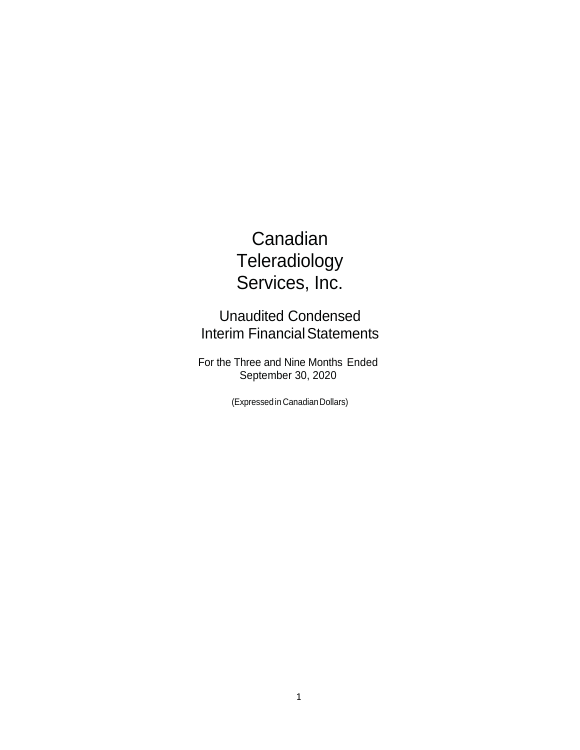# **Canadian Teleradiology** Services, Inc.

Unaudited Condensed **Interim Financial Statements** 

For the Three and Nine Months Ended September 30, 2020

(Expressedin CanadianDollars)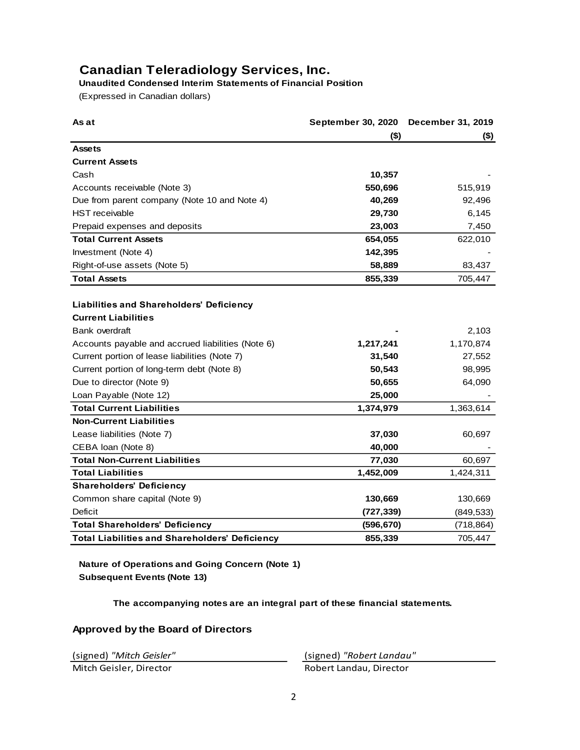# **Canadian Teleradiology Services, Inc.**

# **Unaudited Condensed Interim Statements of Financial Position**

(Expressed in Canadian dollars)

| As at                                                                  | <b>September 30, 2020</b> | <b>December 31, 2019</b> |
|------------------------------------------------------------------------|---------------------------|--------------------------|
|                                                                        | $($ \$)                   | $($ \$)                  |
| <b>Assets</b>                                                          |                           |                          |
| <b>Current Assets</b>                                                  |                           |                          |
| Cash                                                                   | 10,357                    |                          |
| Accounts receivable (Note 3)                                           | 550,696                   | 515,919                  |
| Due from parent company (Note 10 and Note 4)                           | 40,269                    | 92,496                   |
| <b>HST</b> receivable                                                  | 29,730                    | 6,145                    |
| Prepaid expenses and deposits                                          | 23,003                    | 7,450                    |
| <b>Total Current Assets</b>                                            | 654,055                   | 622,010                  |
| Investment (Note 4)                                                    | 142,395                   |                          |
| Right-of-use assets (Note 5)                                           | 58,889                    | 83,437                   |
| <b>Total Assets</b>                                                    | 855,339                   | 705,447                  |
| Liabilities and Shareholders' Deficiency<br><b>Current Liabilities</b> |                           |                          |
| Bank overdraft                                                         |                           | 2,103                    |
| Accounts payable and accrued liabilities (Note 6)                      | 1,217,241                 | 1,170,874                |
| Current portion of lease liabilities (Note 7)                          | 31,540                    | 27,552                   |
| Current portion of long-term debt (Note 8)                             | 50,543                    | 98,995                   |
| Due to director (Note 9)                                               | 50,655                    | 64,090                   |
| Loan Payable (Note 12)                                                 | 25,000                    |                          |
| <b>Total Current Liabilities</b>                                       | 1,374,979                 | 1,363,614                |
| <b>Non-Current Liabilities</b>                                         |                           |                          |
| Lease liabilities (Note 7)                                             | 37,030                    | 60,697                   |
| CEBA Ioan (Note 8)                                                     | 40,000                    |                          |
| <b>Total Non-Current Liabilities</b>                                   | 77,030                    | 60,697                   |
| <b>Total Liabilities</b>                                               | 1,452,009                 | 1,424,311                |
| <b>Shareholders' Deficiency</b>                                        |                           |                          |
| Common share capital (Note 9)                                          | 130,669                   | 130,669                  |
| <b>Deficit</b>                                                         | (727, 339)                | (849, 533)               |
| <b>Total Shareholders' Deficiency</b>                                  | (596, 670)                | (718, 864)               |
| <b>Total Liabilities and Shareholders' Deficiency</b>                  | 855,339                   | 705,447                  |

**Nature of Operations and Going Concern (Note 1) Subsequent Events (Note 13)**

**The accompanying notes are an integral part of these financial statements.**

# **Approved by the Board of Directors**

(signed) *"Mitch Geisler"* (signed) *"Robert Landau"*

Mitch Geisler, Director **Robert Landau, Director**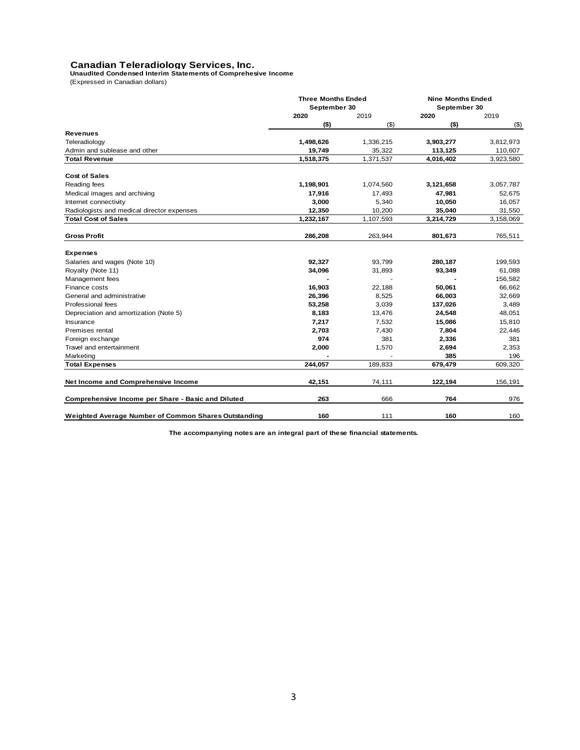# **Canadian Teleradiology Services, Inc. Unaudited Condensed Interim Statements of Comprehesive Income**

(Expressed in Canadian dollars)

|                                                      | <b>Three Months Ended</b><br>September 30 |                 | <b>Nine Months Ended</b><br>September 30 |                 |
|------------------------------------------------------|-------------------------------------------|-----------------|------------------------------------------|-----------------|
|                                                      |                                           |                 |                                          |                 |
|                                                      | 2020<br>$($ \$)                           | 2019<br>$($ \$) | 2020<br>$($ \$)                          | 2019<br>$($ \$) |
| <b>Revenues</b>                                      |                                           |                 |                                          |                 |
| Teleradiology                                        | 1,498,626                                 | 1,336,215       | 3,903,277                                | 3,812,973       |
| Admin and sublease and other                         | 19,749                                    | 35,322          | 113,125                                  | 110,607         |
| <b>Total Revenue</b>                                 | 1,518,375                                 | 1,371,537       | 4,016,402                                | 3,923,580       |
|                                                      |                                           |                 |                                          |                 |
| <b>Cost of Sales</b>                                 |                                           |                 |                                          |                 |
| Reading fees                                         | 1,198,901                                 | 1,074,560       | 3,121,658                                | 3,057,787       |
| Medical images and archiving                         | 17,916                                    | 17,493          | 47,981                                   | 52,675          |
| Internet connectivity                                | 3,000                                     | 5,340           | 10,050                                   | 16,057          |
| Radiologists and medical director expenses           | 12,350                                    | 10,200          | 35,040                                   | 31,550          |
| <b>Total Cost of Sales</b>                           | 1,232,167                                 | 1,107,593       | 3,214,729                                | 3,158,069       |
| <b>Gross Profit</b>                                  | 286,208                                   | 263,944         | 801,673                                  | 765,511         |
| <b>Expenses</b>                                      |                                           |                 |                                          |                 |
| Salaries and wages (Note 10)                         | 92,327                                    | 93,799          | 280,187                                  | 199,593         |
| Royalty (Note 11)                                    | 34,096                                    | 31,893          | 93,349                                   | 61,088          |
| Management fees                                      |                                           |                 |                                          | 156,582         |
| Finance costs                                        | 16,903                                    | 22,188          | 50,061                                   | 66,662          |
|                                                      |                                           |                 |                                          |                 |
| General and administrative<br>Professional fees      | 26,396                                    | 8,525           | 66,003                                   | 32,669          |
|                                                      | 53,258                                    | 3,039           | 137,026                                  | 3,489           |
| Depreciation and amortization (Note 5)               | 8,183                                     | 13,476          | 24,548                                   | 48,051          |
| Insurance                                            | 7,217                                     | 7,532           | 15,086                                   | 15,810          |
| Premises rental                                      | 2,703<br>974                              | 7,430<br>381    | 7,804                                    | 22,446          |
| Foreign exchange                                     |                                           |                 | 2,336                                    | 381             |
| Travel and entertainment                             | 2,000                                     | 1,570           | 2,694<br>385                             | 2,353           |
| Marketing                                            |                                           |                 |                                          | 196             |
| <b>Total Expenses</b>                                | 244,057                                   | 189,833         | 679,479                                  | 609,320         |
| Net Income and Comprehensive Income                  | 42,151                                    | 74,111          | 122,194                                  | 156,191         |
| Comprehensive Income per Share - Basic and Diluted   | 263                                       | 666             | 764                                      | 976             |
| Weighted Average Number of Common Shares Outstanding | 160                                       | 111             | 160                                      | 160             |

**The accompanying notes are an integral part of these financial statements.**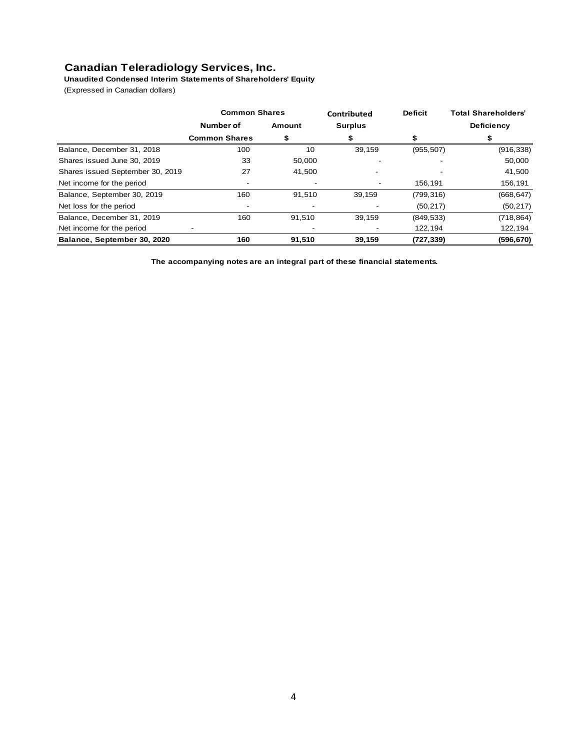# **Canadian Teleradiology Services, Inc.**

**Unaudited Condensed Interim Statements of Shareholders' Equity**

(Expressed in Canadian dollars)

|                                  | <b>Common Shares</b> |                          | Contributed    | <b>Deficit</b> | <b>Total Shareholders'</b> |  |
|----------------------------------|----------------------|--------------------------|----------------|----------------|----------------------------|--|
|                                  | Number of            | Amount                   | <b>Surplus</b> |                | <b>Deficiency</b>          |  |
|                                  | <b>Common Shares</b> | \$                       |                | S              |                            |  |
| Balance, December 31, 2018       | 100                  | 10                       | 39,159         | (955, 507)     | (916, 338)                 |  |
| Shares issued June 30, 2019      | 33                   | 50.000                   |                |                | 50,000                     |  |
| Shares issued September 30, 2019 | 27                   | 41,500                   |                |                | 41,500                     |  |
| Net income for the period        |                      |                          |                | 156.191        | 156,191                    |  |
| Balance, September 30, 2019      | 160                  | 91,510                   | 39,159         | (799, 316)     | (668, 647)                 |  |
| Net loss for the period          |                      | $\overline{\phantom{0}}$ |                | (50, 217)      | (50, 217)                  |  |
| Balance, December 31, 2019       | 160                  | 91,510                   | 39,159         | (849, 533)     | (718, 864)                 |  |
| Net income for the period        |                      |                          |                | 122,194        | 122,194                    |  |
| Balance, September 30, 2020      | 160                  | 91,510                   | 39,159         | (727, 339)     | (596, 670)                 |  |

**The accompanying notes are an integral part of these financial statements.**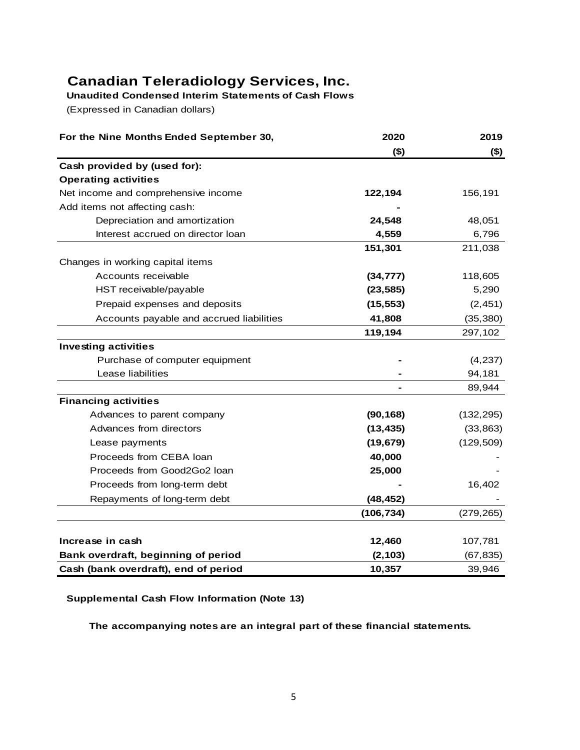# **Canadian Teleradiology Services, Inc.**

**Unaudited Condensed Interim Statements of Cash Flows**

(Expressed in Canadian dollars)

| For the Nine Months Ended September 30,  | 2020       | 2019       |
|------------------------------------------|------------|------------|
|                                          | (3)        | $($ \$)    |
| Cash provided by (used for):             |            |            |
| <b>Operating activities</b>              |            |            |
| Net income and comprehensive income      | 122,194    | 156,191    |
| Add items not affecting cash:            |            |            |
| Depreciation and amortization            | 24,548     | 48,051     |
| Interest accrued on director loan        | 4,559      | 6,796      |
|                                          | 151,301    | 211,038    |
| Changes in working capital items         |            |            |
| Accounts receivable                      | (34, 777)  | 118,605    |
| HST receivable/payable                   | (23, 585)  | 5,290      |
| Prepaid expenses and deposits            | (15, 553)  | (2, 451)   |
| Accounts payable and accrued liabilities | 41,808     | (35, 380)  |
|                                          | 119,194    | 297,102    |
| <b>Investing activities</b>              |            |            |
| Purchase of computer equipment           |            | (4,237)    |
| Lease liabilities                        |            | 94,181     |
|                                          |            | 89,944     |
| <b>Financing activities</b>              |            |            |
| Advances to parent company               | (90, 168)  | (132, 295) |
| Advances from directors                  | (13, 435)  | (33, 863)  |
| Lease payments                           | (19, 679)  | (129, 509) |
| Proceeds from CEBA loan                  | 40,000     |            |
| Proceeds from Good2Go2 loan              | 25,000     |            |
| Proceeds from long-term debt             |            | 16,402     |
| Repayments of long-term debt             | (48, 452)  |            |
|                                          | (106, 734) | (279, 265) |
| Increase in cash                         | 12,460     | 107,781    |
| Bank overdraft, beginning of period      | (2, 103)   | (67, 835)  |
| Cash (bank overdraft), end of period     | 10,357     | 39,946     |

# **Supplemental Cash Flow Information (Note 13)**

**The accompanying notes are an integral part of these financial statements.**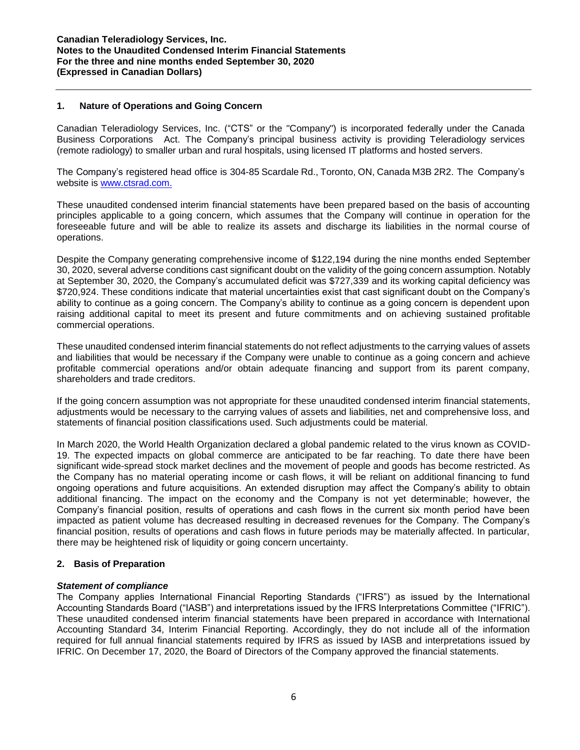#### **1. Nature of Operations and Going Concern**

Canadian Teleradiology Services, Inc. ("CTS" or the "Company") is incorporated federally under the Canada Business Corporations Act. The Company's principal business activity is providing Teleradiology services (remote radiology) to smaller urban and rural hospitals, using licensed IT platforms and hosted servers.

The Company's registered head office is 304-85 Scardale Rd., Toronto, ON, Canada M3B 2R2. The Company's website is [www.ctsrad.com.](http://www.ctsrad.com./)

These unaudited condensed interim financial statements have been prepared based on the basis of accounting principles applicable to a going concern, which assumes that the Company will continue in operation for the foreseeable future and will be able to realize its assets and discharge its liabilities in the normal course of operations.

Despite the Company generating comprehensive income of \$122,194 during the nine months ended September 30, 2020, several adverse conditions cast significant doubt on the validity of the going concern assumption. Notably at September 30, 2020, the Company's accumulated deficit was \$727,339 and its working capital deficiency was \$720,924. These conditions indicate that material uncertainties exist that cast significant doubt on the Company's ability to continue as a going concern. The Company's ability to continue as a going concern is dependent upon raising additional capital to meet its present and future commitments and on achieving sustained profitable commercial operations.

These unaudited condensed interim financial statements do not reflect adjustments to the carrying values of assets and liabilities that would be necessary if the Company were unable to continue as a going concern and achieve profitable commercial operations and/or obtain adequate financing and support from its parent company, shareholders and trade creditors.

If the going concern assumption was not appropriate for these unaudited condensed interim financial statements, adjustments would be necessary to the carrying values of assets and liabilities, net and comprehensive loss, and statements of financial position classifications used. Such adjustments could be material.

In March 2020, the World Health Organization declared a global pandemic related to the virus known as COVID-19. The expected impacts on global commerce are anticipated to be far reaching. To date there have been significant wide-spread stock market declines and the movement of people and goods has become restricted. As the Company has no material operating income or cash flows, it will be reliant on additional financing to fund ongoing operations and future acquisitions. An extended disruption may affect the Company's ability to obtain additional financing. The impact on the economy and the Company is not yet determinable; however, the Company's financial position, results of operations and cash flows in the current six month period have been impacted as patient volume has decreased resulting in decreased revenues for the Company. The Company's financial position, results of operations and cash flows in future periods may be materially affected. In particular, there may be heightened risk of liquidity or going concern uncertainty.

# **2. Basis of Preparation**

#### *Statement of compliance*

The Company applies International Financial Reporting Standards ("IFRS") as issued by the International Accounting Standards Board ("IASB") and interpretations issued by the IFRS Interpretations Committee ("IFRIC"). These unaudited condensed interim financial statements have been prepared in accordance with International Accounting Standard 34, Interim Financial Reporting. Accordingly, they do not include all of the information required for full annual financial statements required by IFRS as issued by IASB and interpretations issued by IFRIC. On December 17, 2020, the Board of Directors of the Company approved the financial statements.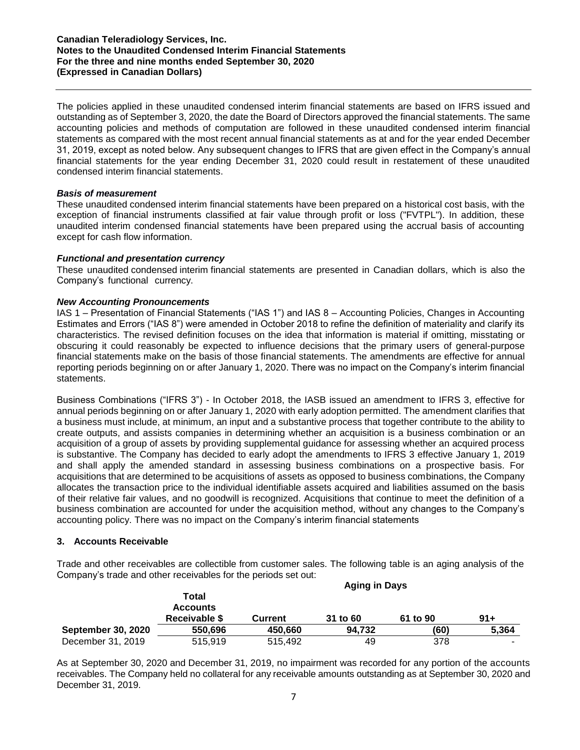#### **Canadian Teleradiology Services, Inc. Notes to the Unaudited Condensed Interim Financial Statements For the three and nine months ended September 30, 2020 (Expressed in Canadian Dollars)**

The policies applied in these unaudited condensed interim financial statements are based on IFRS issued and outstanding as of September 3, 2020, the date the Board of Directors approved the financial statements. The same accounting policies and methods of computation are followed in these unaudited condensed interim financial statements as compared with the most recent annual financial statements as at and for the year ended December 31, 2019, except as noted below. Any subsequent changes to IFRS that are given effect in the Company's annual financial statements for the year ending December 31, 2020 could result in restatement of these unaudited condensed interim financial statements.

#### *Basis of measurement*

These unaudited condensed interim financial statements have been prepared on a historical cost basis, with the exception of financial instruments classified at fair value through profit or loss ("FVTPL"). In addition, these unaudited interim condensed financial statements have been prepared using the accrual basis of accounting except for cash flow information.

#### *Functional and presentation currency*

These unaudited condensed interim financial statements are presented in Canadian dollars, which is also the Company's functional currency.

#### *New Accounting Pronouncements*

IAS 1 – Presentation of Financial Statements ("IAS 1") and IAS 8 – Accounting Policies, Changes in Accounting Estimates and Errors ("IAS 8") were amended in October 2018 to refine the definition of materiality and clarify its characteristics. The revised definition focuses on the idea that information is material if omitting, misstating or obscuring it could reasonably be expected to influence decisions that the primary users of general-purpose financial statements make on the basis of those financial statements. The amendments are effective for annual reporting periods beginning on or after January 1, 2020. There was no impact on the Company's interim financial statements.

Business Combinations ("IFRS 3") - In October 2018, the IASB issued an amendment to IFRS 3, effective for annual periods beginning on or after January 1, 2020 with early adoption permitted. The amendment clarifies that a business must include, at minimum, an input and a substantive process that together contribute to the ability to create outputs, and assists companies in determining whether an acquisition is a business combination or an acquisition of a group of assets by providing supplemental guidance for assessing whether an acquired process is substantive. The Company has decided to early adopt the amendments to IFRS 3 effective January 1, 2019 and shall apply the amended standard in assessing business combinations on a prospective basis. For acquisitions that are determined to be acquisitions of assets as opposed to business combinations, the Company allocates the transaction price to the individual identifiable assets acquired and liabilities assumed on the basis of their relative fair values, and no goodwill is recognized. Acquisitions that continue to meet the definition of a business combination are accounted for under the acquisition method, without any changes to the Company's accounting policy. There was no impact on the Company's interim financial statements

# **3. Accounts Receivable**

Trade and other receivables are collectible from customer sales. The following table is an aging analysis of the Company's trade and other receivables for the periods set out:

|                           | <b>Aging in Days</b> |                |          |          |        |
|---------------------------|----------------------|----------------|----------|----------|--------|
|                           | Total                |                |          |          |        |
|                           | <b>Accounts</b>      |                |          |          |        |
|                           | Receivable \$        | <b>Current</b> | 31 to 60 | 61 to 90 | $91 +$ |
| <b>September 30, 2020</b> | 550,696              | 450.660        | 94.732   | (60)     | 5,364  |
| December 31, 2019         | 515,919              | 515,492        | 49       | 378      | -      |

As at September 30, 2020 and December 31, 2019, no impairment was recorded for any portion of the accounts receivables. The Company held no collateral for any receivable amounts outstanding as at September 30, 2020 and December 31, 2019.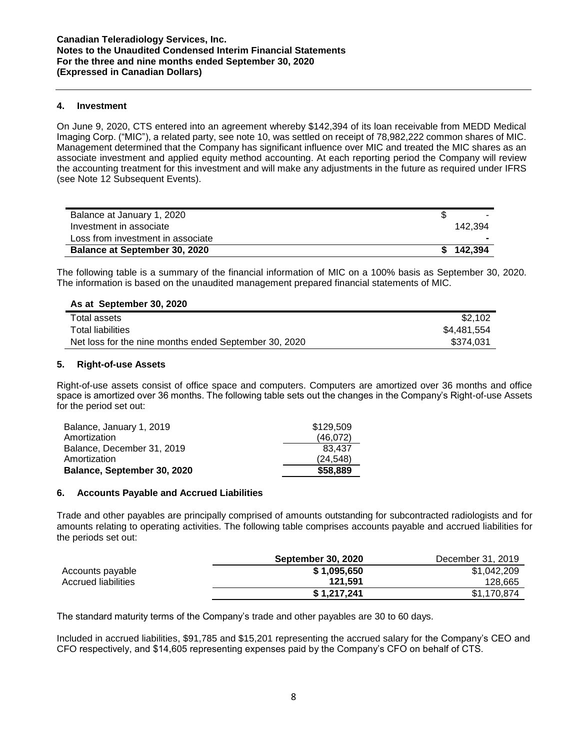#### **4. Investment**

On June 9, 2020, CTS entered into an agreement whereby \$142,394 of its loan receivable from MEDD Medical Imaging Corp. ("MIC"), a related party, see note 10, was settled on receipt of 78,982,222 common shares of MIC. Management determined that the Company has significant influence over MIC and treated the MIC shares as an associate investment and applied equity method accounting. At each reporting period the Company will review the accounting treatment for this investment and will make any adjustments in the future as required under IFRS (see Note 12 Subsequent Events).

| Balance at January 1, 2020           |           |
|--------------------------------------|-----------|
| Investment in associate              | 142.394   |
| Loss from investment in associate    |           |
| <b>Balance at September 30, 2020</b> | \$142.394 |

The following table is a summary of the financial information of MIC on a 100% basis as September 30, 2020. The information is based on the unaudited management prepared financial statements of MIC.

# **As at September 30, 2020**

| Total assets                                          | \$2.102     |
|-------------------------------------------------------|-------------|
| Total liabilities                                     | \$4,481,554 |
| Net loss for the nine months ended September 30, 2020 | \$374.031   |

#### **5. Right-of-use Assets**

Right-of-use assets consist of office space and computers. Computers are amortized over 36 months and office space is amortized over 36 months. The following table sets out the changes in the Company's Right-of-use Assets for the period set out:

| Balance, January 1, 2019    | \$129,509 |
|-----------------------------|-----------|
| Amortization                | (46,072)  |
| Balance, December 31, 2019  | 83.437    |
| Amortization                | (24.548)  |
| Balance, September 30, 2020 | \$58,889  |

#### **6. Accounts Payable and Accrued Liabilities**

Trade and other payables are principally comprised of amounts outstanding for subcontracted radiologists and for amounts relating to operating activities. The following table comprises accounts payable and accrued liabilities for the periods set out:

|                     | <b>September 30, 2020</b> | December 31, 2019 |
|---------------------|---------------------------|-------------------|
| Accounts payable    | \$1.095.650               | \$1,042,209       |
| Accrued liabilities | 121.591                   | 128,665           |
|                     | \$1,217,241               | \$1,170,874       |

The standard maturity terms of the Company's trade and other payables are 30 to 60 days.

Included in accrued liabilities, \$91,785 and \$15,201 representing the accrued salary for the Company's CEO and CFO respectively, and \$14,605 representing expenses paid by the Company's CFO on behalf of CTS.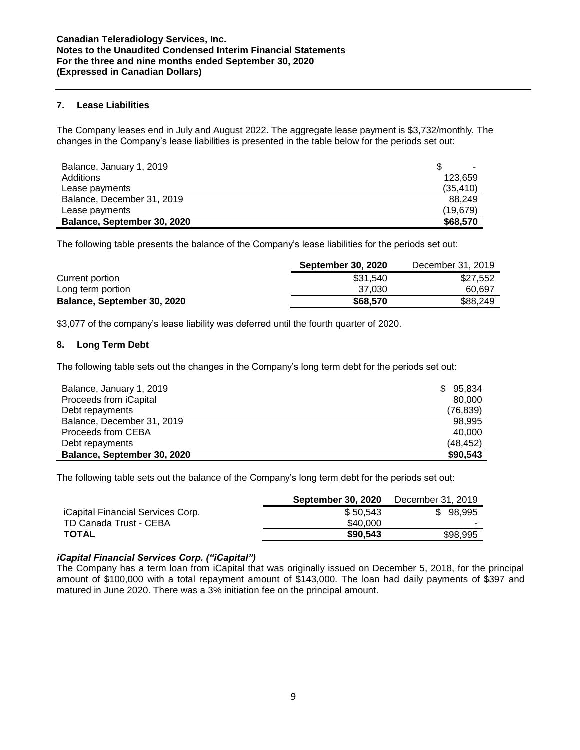#### **7. Lease Liabilities**

The Company leases end in July and August 2022. The aggregate lease payment is \$3,732/monthly. The changes in the Company's lease liabilities is presented in the table below for the periods set out:

| Balance, January 1, 2019    |          |
|-----------------------------|----------|
| Additions                   | 123.659  |
| Lease payments              | (35.410) |
| Balance, December 31, 2019  | 88.249   |
| Lease payments              | (19.679) |
| Balance, September 30, 2020 | \$68,570 |

The following table presents the balance of the Company's lease liabilities for the periods set out:

|                             | <b>September 30, 2020</b> | December 31, 2019 |
|-----------------------------|---------------------------|-------------------|
| Current portion             | \$31.540                  | \$27.552          |
| Long term portion           | 37.030                    | 60.697            |
| Balance, September 30, 2020 | \$68,570                  | \$88,249          |

\$3,077 of the company's lease liability was deferred until the fourth quarter of 2020.

# **8. Long Term Debt**

The following table sets out the changes in the Company's long term debt for the periods set out:

| Balance, January 1, 2019    | 95,834<br>S. |
|-----------------------------|--------------|
| Proceeds from iCapital      | 80.000       |
| Debt repayments             | (76, 839)    |
| Balance, December 31, 2019  | 98.995       |
| Proceeds from CEBA          | 40.000       |
| Debt repayments             | (48, 452)    |
| Balance, September 30, 2020 | \$90,543     |

The following table sets out the balance of the Company's long term debt for the periods set out:

|                                          | <b>September 30, 2020</b> | December 31, 2019 |
|------------------------------------------|---------------------------|-------------------|
| <i>iCapital Financial Services Corp.</i> | \$50.543                  | \$98.995          |
| TD Canada Trust - CEBA                   | \$40,000                  |                   |
| <b>TOTAL</b>                             | \$90,543                  | \$98.995          |
|                                          |                           |                   |

# *iCapital Financial Services Corp. ("iCapital")*

The Company has a term loan from iCapital that was originally issued on December 5, 2018, for the principal amount of \$100,000 with a total repayment amount of \$143,000. The loan had daily payments of \$397 and matured in June 2020. There was a 3% initiation fee on the principal amount.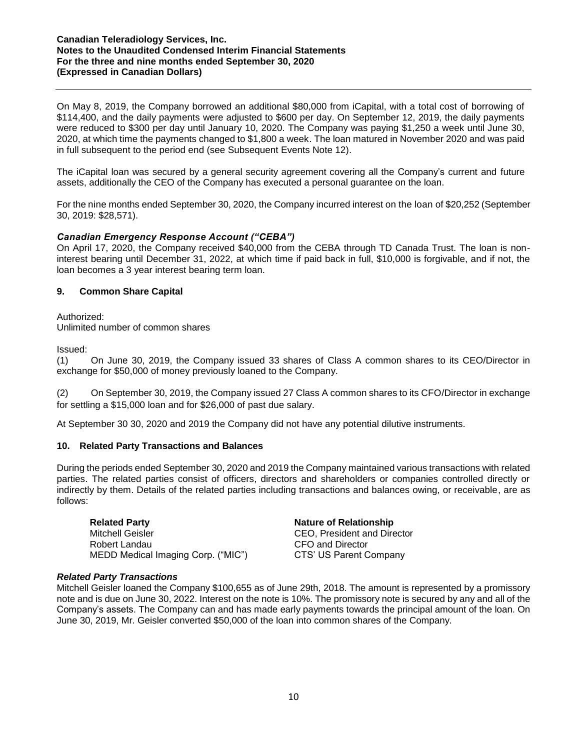#### **Canadian Teleradiology Services, Inc. Notes to the Unaudited Condensed Interim Financial Statements For the three and nine months ended September 30, 2020 (Expressed in Canadian Dollars)**

On May 8, 2019, the Company borrowed an additional \$80,000 from iCapital, with a total cost of borrowing of \$114,400, and the daily payments were adjusted to \$600 per day. On September 12, 2019, the daily payments were reduced to \$300 per day until January 10, 2020. The Company was paying \$1,250 a week until June 30, 2020, at which time the payments changed to \$1,800 a week. The loan matured in November 2020 and was paid in full subsequent to the period end (see Subsequent Events Note 12).

The iCapital loan was secured by a general security agreement covering all the Company's current and future assets, additionally the CEO of the Company has executed a personal guarantee on the loan.

For the nine months ended September 30, 2020, the Company incurred interest on the loan of \$20,252 (September 30, 2019: \$28,571).

# *Canadian Emergency Response Account ("CEBA")*

On April 17, 2020, the Company received \$40,000 from the CEBA through TD Canada Trust. The loan is noninterest bearing until December 31, 2022, at which time if paid back in full, \$10,000 is forgivable, and if not, the loan becomes a 3 year interest bearing term loan.

# **9. Common Share Capital**

Authorized: Unlimited number of common shares

Issued:

(1) On June 30, 2019, the Company issued 33 shares of Class A common shares to its CEO/Director in exchange for \$50,000 of money previously loaned to the Company.

(2) On September 30, 2019, the Company issued 27 Class A common shares to its CFO/Director in exchange for settling a \$15,000 loan and for \$26,000 of past due salary.

At September 30 30, 2020 and 2019 the Company did not have any potential dilutive instruments.

#### **10. Related Party Transactions and Balances**

During the periods ended September 30, 2020 and 2019 the Company maintained various transactions with related parties. The related parties consist of officers, directors and shareholders or companies controlled directly or indirectly by them. Details of the related parties including transactions and balances owing, or receivable, are as follows:

**Related Party Nature of Relationship** Mitchell Geisler CEO, President and Director Robert Landau CFO and Director MEDD Medical Imaging Corp. ("MIC") CTS' US Parent Company

#### *Related Party Transactions*

Mitchell Geisler loaned the Company \$100,655 as of June 29th, 2018. The amount is represented by a promissory note and is due on June 30, 2022. Interest on the note is 10%. The promissory note is secured by any and all of the Company's assets. The Company can and has made early payments towards the principal amount of the loan. On June 30, 2019, Mr. Geisler converted \$50,000 of the loan into common shares of the Company.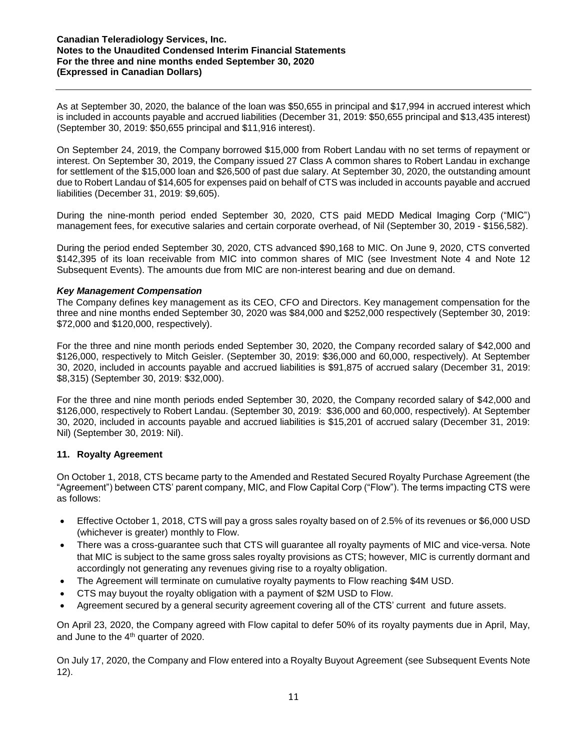As at September 30, 2020, the balance of the loan was \$50,655 in principal and \$17,994 in accrued interest which is included in accounts payable and accrued liabilities (December 31, 2019: \$50,655 principal and \$13,435 interest) (September 30, 2019: \$50,655 principal and \$11,916 interest).

On September 24, 2019, the Company borrowed \$15,000 from Robert Landau with no set terms of repayment or interest. On September 30, 2019, the Company issued 27 Class A common shares to Robert Landau in exchange for settlement of the \$15,000 loan and \$26,500 of past due salary. At September 30, 2020, the outstanding amount due to Robert Landau of \$14,605 for expenses paid on behalf of CTS was included in accounts payable and accrued liabilities (December 31, 2019: \$9,605).

During the nine-month period ended September 30, 2020, CTS paid MEDD Medical Imaging Corp ("MIC") management fees, for executive salaries and certain corporate overhead, of Nil (September 30, 2019 - \$156,582).

During the period ended September 30, 2020, CTS advanced \$90,168 to MIC. On June 9, 2020, CTS converted \$142,395 of its loan receivable from MIC into common shares of MIC (see Investment Note 4 and Note 12 Subsequent Events). The amounts due from MIC are non-interest bearing and due on demand.

# *Key Management Compensation*

The Company defines key management as its CEO, CFO and Directors. Key management compensation for the three and nine months ended September 30, 2020 was \$84,000 and \$252,000 respectively (September 30, 2019: \$72,000 and \$120,000, respectively).

For the three and nine month periods ended September 30, 2020, the Company recorded salary of \$42,000 and \$126,000, respectively to Mitch Geisler. (September 30, 2019: \$36,000 and 60,000, respectively). At September 30, 2020, included in accounts payable and accrued liabilities is \$91,875 of accrued salary (December 31, 2019: \$8,315) (September 30, 2019: \$32,000).

For the three and nine month periods ended September 30, 2020, the Company recorded salary of \$42,000 and \$126,000, respectively to Robert Landau. (September 30, 2019: \$36,000 and 60,000, respectively). At September 30, 2020, included in accounts payable and accrued liabilities is \$15,201 of accrued salary (December 31, 2019: Nil) (September 30, 2019: Nil).

# **11. Royalty Agreement**

On October 1, 2018, CTS became party to the Amended and Restated Secured Royalty Purchase Agreement (the "Agreement") between CTS' parent company, MIC, and Flow Capital Corp ("Flow"). The terms impacting CTS were as follows:

- Effective October 1, 2018, CTS will pay a gross sales royalty based on of 2.5% of its revenues or \$6,000 USD (whichever is greater) monthly to Flow.
- There was a cross-guarantee such that CTS will guarantee all royalty payments of MIC and vice-versa. Note that MIC is subject to the same gross sales royalty provisions as CTS; however, MIC is currently dormant and accordingly not generating any revenues giving rise to a royalty obligation.
- The Agreement will terminate on cumulative royalty payments to Flow reaching \$4M USD.
- CTS may buyout the royalty obligation with a payment of \$2M USD to Flow.
- Agreement secured by a general security agreement covering all of the CTS' current and future assets.

On April 23, 2020, the Company agreed with Flow capital to defer 50% of its royalty payments due in April, May, and June to the 4<sup>th</sup> quarter of 2020.

On July 17, 2020, the Company and Flow entered into a Royalty Buyout Agreement (see Subsequent Events Note 12).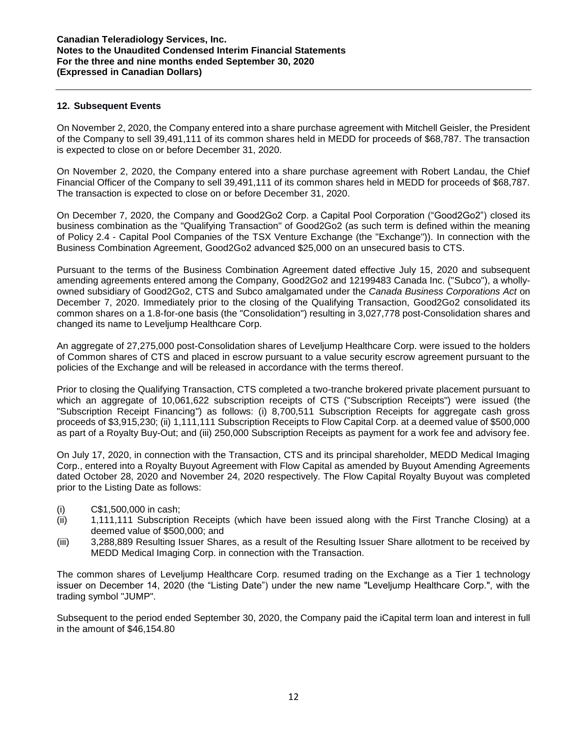#### **12. Subsequent Events**

On November 2, 2020, the Company entered into a share purchase agreement with Mitchell Geisler, the President of the Company to sell 39,491,111 of its common shares held in MEDD for proceeds of \$68,787. The transaction is expected to close on or before December 31, 2020.

On November 2, 2020, the Company entered into a share purchase agreement with Robert Landau, the Chief Financial Officer of the Company to sell 39,491,111 of its common shares held in MEDD for proceeds of \$68,787. The transaction is expected to close on or before December 31, 2020.

On December 7, 2020, the Company and Good2Go2 Corp. a Capital Pool Corporation ("Good2Go2") closed its business combination as the "Qualifying Transaction" of Good2Go2 (as such term is defined within the meaning of Policy 2.4 - Capital Pool Companies of the TSX Venture Exchange (the "Exchange")). In connection with the Business Combination Agreement, Good2Go2 advanced \$25,000 on an unsecured basis to CTS.

Pursuant to the terms of the Business Combination Agreement dated effective July 15, 2020 and subsequent amending agreements entered among the Company, Good2Go2 and 12199483 Canada Inc. ("Subco"), a whollyowned subsidiary of Good2Go2, CTS and Subco amalgamated under the *Canada Business Corporations Act* on December 7, 2020. Immediately prior to the closing of the Qualifying Transaction, Good2Go2 consolidated its common shares on a 1.8-for-one basis (the "Consolidation") resulting in 3,027,778 post-Consolidation shares and changed its name to Leveljump Healthcare Corp.

An aggregate of 27,275,000 post-Consolidation shares of Leveljump Healthcare Corp. were issued to the holders of Common shares of CTS and placed in escrow pursuant to a value security escrow agreement pursuant to the policies of the Exchange and will be released in accordance with the terms thereof.

Prior to closing the Qualifying Transaction, CTS completed a two-tranche brokered private placement pursuant to which an aggregate of 10,061,622 subscription receipts of CTS ("Subscription Receipts") were issued (the "Subscription Receipt Financing") as follows: (i) 8,700,511 Subscription Receipts for aggregate cash gross proceeds of \$3,915,230; (ii) 1,111,111 Subscription Receipts to Flow Capital Corp. at a deemed value of \$500,000 as part of a Royalty Buy-Out; and (iii) 250,000 Subscription Receipts as payment for a work fee and advisory fee.

On July 17, 2020, in connection with the Transaction, CTS and its principal shareholder, MEDD Medical Imaging Corp., entered into a Royalty Buyout Agreement with Flow Capital as amended by Buyout Amending Agreements dated October 28, 2020 and November 24, 2020 respectively. The Flow Capital Royalty Buyout was completed prior to the Listing Date as follows:

- (i) C\$1,500,000 in cash;
- (ii) 1,111,111 Subscription Receipts (which have been issued along with the First Tranche Closing) at a deemed value of \$500,000; and
- (iii) 3,288,889 Resulting Issuer Shares, as a result of the Resulting Issuer Share allotment to be received by MEDD Medical Imaging Corp. in connection with the Transaction.

The common shares of Leveljump Healthcare Corp. resumed trading on the Exchange as a Tier 1 technology issuer on December 14, 2020 (the "Listing Date") under the new name "Leveljump Healthcare Corp.", with the trading symbol "JUMP".

Subsequent to the period ended September 30, 2020, the Company paid the iCapital term loan and interest in full in the amount of \$46,154.80